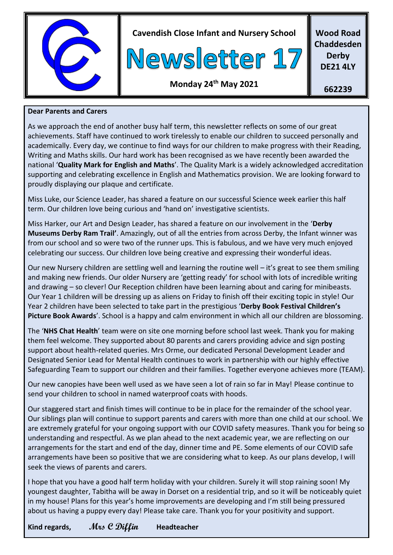

**Cavendish Close Infant and Nursery School**



**Wood Road Chaddesden Derby DE21 4LY**

## **Monday 24th May 2021**

**662239**

#### **Dear Parents and Carers**

As we approach the end of another busy half term, this newsletter reflects on some of our great achievements. Staff have continued to work tirelessly to enable our children to succeed personally and academically. Every day, we continue to find ways for our children to make progress with their Reading, Writing and Maths skills. Our hard work has been recognised as we have recently been awarded the national '**Quality Mark for English and Maths**'. The Quality Mark is a widely acknowledged accreditation supporting and celebrating excellence in English and Mathematics provision. We are looking forward to proudly displaying our plaque and certificate.

Miss Luke, our Science Leader, has shared a feature on our successful Science week earlier this half term. Our children love being curious and 'hand on' investigative scientists.

Miss Harker, our Art and Design Leader, has shared a feature on our involvement in the '**Derby Museums Derby Ram Trail'**. Amazingly, out of all the entries from across Derby, the Infant winner was from our school and so were two of the runner ups. This is fabulous, and we have very much enjoyed celebrating our success. Our children love being creative and expressing their wonderful ideas.

Our new Nursery children are settling well and learning the routine well – it's great to see them smiling and making new friends. Our older Nursery are 'getting ready' for school with lots of incredible writing and drawing – so clever! Our Reception children have been learning about and caring for minibeasts. Our Year 1 children will be dressing up as aliens on Friday to finish off their exciting topic in style! Our Year 2 children have been selected to take part in the prestigious '**Derby Book Festival Children's Picture Book Awards**'. School is a happy and calm environment in which all our children are blossoming.

The '**NHS Chat Health**' team were on site one morning before school last week. Thank you for making them feel welcome. They supported about 80 parents and carers providing advice and sign posting support about health-related queries. Mrs Orme, our dedicated Personal Development Leader and Designated Senior Lead for Mental Health continues to work in partnership with our highly effective Safeguarding Team to support our children and their families. Together everyone achieves more (TEAM).

Our new canopies have been well used as we have seen a lot of rain so far in May! Please continue to send your children to school in named waterproof coats with hoods.

Our staggered start and finish times will continue to be in place for the remainder of the school year. Our siblings plan will continue to support parents and carers with more than one child at our school. We are extremely grateful for your ongoing support with our COVID safety measures. Thank you for being so understanding and respectful. As we plan ahead to the next academic year, we are reflecting on our arrangements for the start and end of the day, dinner time and PE. Some elements of our COVID safe arrangements have been so positive that we are considering what to keep. As our plans develop, I will seek the views of parents and carers.

I hope that you have a good half term holiday with your children. Surely it will stop raining soon! My youngest daughter, Tabitha will be away in Dorset on a residential trip, and so it will be noticeably quiet in my house! Plans for this year's home improvements are developing and I'm still being pressured about us having a puppy every day! Please take care. Thank you for your positivity and support.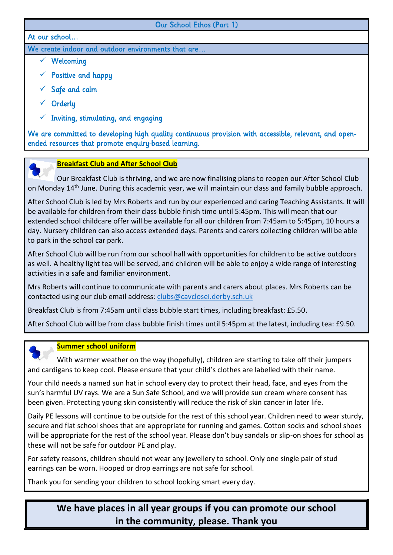#### Our School Ethos (Part 1)

#### At our school…

We create indoor and outdoor environments that are…

- ✓ Welcoming
- $\checkmark$  Positive and happy
- $\checkmark$  Safe and calm
- ✓ Orderly
- $\checkmark$  Inviting, stimulating, and engaging

We are committed to developing high quality continuous provision with accessible, relevant, and openended resources that promote enquiry-based learning.



#### **Breakfast Club and After School Club**

 Our Breakfast Club is thriving, and we are now finalising plans to reopen our After School Club on Monday 14<sup>th</sup> June. During this academic year, we will maintain our class and family bubble approach.

After School Club is led by Mrs Roberts and run by our experienced and caring Teaching Assistants. It will be available for children from their class bubble finish time until 5:45pm. This will mean that our extended school childcare offer will be available for all our children from 7:45am to 5:45pm, 10 hours a day. Nursery children can also access extended days. Parents and carers collecting children will be able to park in the school car park.

After School Club will be run from our school hall with opportunities for children to be active outdoors as well. A healthy light tea will be served, and children will be able to enjoy a wide range of interesting activities in a safe and familiar environment.

Mrs Roberts will continue to communicate with parents and carers about places. Mrs Roberts can be contacted using our club email address: [clubs@cavclosei.derby.sch.uk](mailto:clubs@cavclosei.derby.sch.uk)

Breakfast Club is from 7:45am until class bubble start times, including breakfast: £5.50.

After School Club will be from class bubble finish times until 5:45pm at the latest, including tea: £9.50.

#### **Summer school uniform**

 With warmer weather on the way (hopefully), children are starting to take off their jumpers and cardigans to keep cool. Please ensure that your child's clothes are labelled with their name.

Your child needs a named sun hat in school every day to protect their head, face, and eyes from the sun's harmful UV rays. We are a Sun Safe School, and we will provide sun cream where consent has been given. Protecting young skin consistently will reduce the risk of skin cancer in later life.

Daily PE lessons will continue to be outside for the rest of this school year. Children need to wear sturdy, secure and flat school shoes that are appropriate for running and games. Cotton socks and school shoes will be appropriate for the rest of the school year. Please don't buy sandals or slip-on shoes for school as these will not be safe for outdoor PE and play.

For safety reasons, children should not wear any jewellery to school. Only one single pair of stud earrings can be worn. Hooped or drop earrings are not safe for school.

Thank you for sending your children to school looking smart every day.

# **We have places in all year groups if you can promote our school in the community, please. Thank you**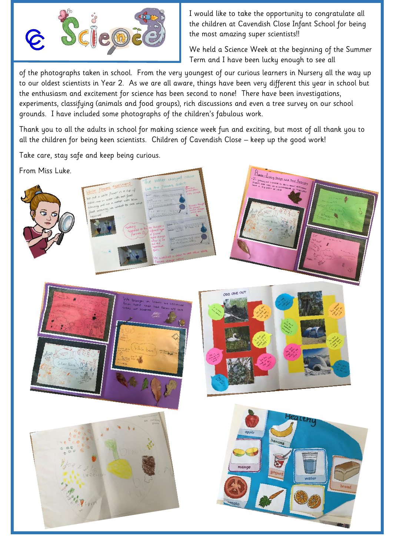

I would like to take the opportunity to congratulate all the children at Cavendish Close Infant School for being the most amazing super scientists!!

We held a Science Week at the beginning of the Summer Term and I have been lucky enough to see all

\_ of the photographs taken in school. From the very youngest of our curious learners in Nursery all the way up to our oldest scientists in Year 2. As we are all aware, things have been very different this year in school but the enthusiasm and excitement for science has been second to none! There have been investigations, experiments, classifying (animals and food groups), rich discussions and even a tree survey on our school grounds. I have included some photographs of the children's fabulous work.

Thank you to all the adults in school for making science week fun and exciting, but most of all thank you to all the children for being keen scientists. Children of Cavendish Close – keep up the good work!

Take care, stay safe and keep being curious.

From Miss Luke.







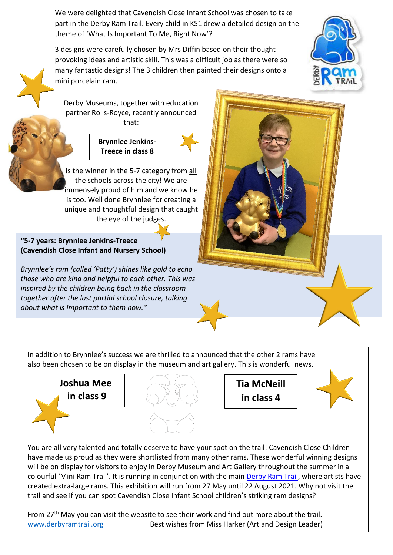We were delighted that Cavendish Close Infant School was chosen to take part in the Derby Ram Trail. Every child in KS1 drew a detailed design on the theme of 'What Is Important To Me, Right Now'?

3 designs were carefully chosen by Mrs Diffin based on their thoughtprovoking ideas and artistic skill. This was a difficult job as there were so many fantastic designs! The 3 children then painted their designs onto a mini porcelain ram.



Derby Museums, together with education partner Rolls-Royce, recently announced that:



is the winner in the 5-7 category from all the schools across the city! We are immensely proud of him and we know he is too. Well done Brynnlee for creating a unique and thoughtful design that caught the eye of the judges.

#### **"5-7 years: Brynnlee Jenkins-Treece (Cavendish Close Infant and Nursery School)**

*Brynnlee's ram (called 'Patty') shines like gold to echo those who are kind and helpful to each other. This was inspired by the children being back in the classroom together after the last partial school closure, talking about what is important to them now."*



In addition to Brynnlee's success we are thrilled to announced that the other 2 rams have also been chosen to be on display in the museum and art gallery. This is wonderful news.





**Tia McNeill in class 4**



You are all very talented and totally deserve to have your spot on the trail! Cavendish Close Children have made us proud as they were shortlisted from many other rams. These wonderful winning designs will be on display for visitors to enjoy in Derby Museum and Art Gallery throughout the summer in a colourful 'Mini Ram Trail'. It is running in conjunction with the main [Derby](https://www.derbyramtrail.org/) Ram Trail, where artists have created extra-large rams. This exhibition will run from 27 May until 22 August 2021. Why not visit the trail and see if you can spot Cavendish Close Infant School children's striking ram designs?

From 27<sup>th</sup> May you can visit the website to see their work and find out more about the trail. [www.derbyramtrail.org](http://www.derbyramtrail.org/) Best wishes from Miss Harker (Art and Design Leader)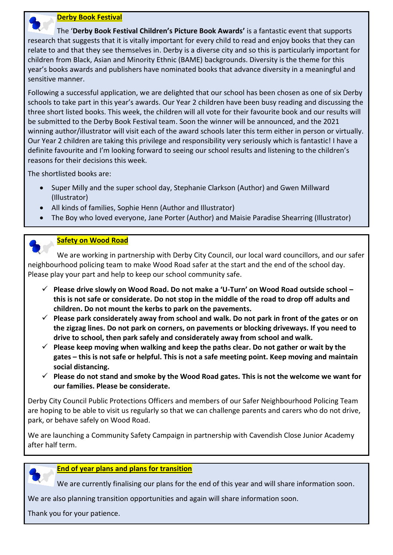

 The '**Derby Book Festival Children's Picture Book Awards'** is a fantastic event that supports research that suggests that it is vitally important for every child to read and enjoy books that they can relate to and that they see themselves in. Derby is a diverse city and so this is particularly important for children from Black, Asian and Minority Ethnic (BAME) backgrounds. Diversity is the theme for this year's books awards and publishers have nominated books that advance diversity in a meaningful and sensitive manner.

Following a successful application, we are delighted that our school has been chosen as one of six Derby schools to take part in this year's awards. Our Year 2 children have been busy reading and discussing the three short listed books. This week, the children will all vote for their favourite book and our results will be submitted to the Derby Book Festival team. Soon the winner will be announced, and the 2021 winning author/illustrator will visit each of the award schools later this term either in person or virtually. Our Year 2 children are taking this privilege and responsibility very seriously which is fantastic! I have a definite favourite and I'm looking forward to seeing our school results and listening to the children's reasons for their decisions this week.

The shortlisted books are:

- Super Milly and the super school day, Stephanie Clarkson (Author) and Gwen Millward (Illustrator)
- All kinds of families, Sophie Henn (Author and Illustrator)
- The Boy who loved everyone, Jane Porter (Author) and Maisie Paradise Shearring (Illustrator)



#### **Safety on Wood Road**

 We are working in partnership with Derby City Council, our local ward councillors, and our safer neighbourhood policing team to make Wood Road safer at the start and the end of the school day. Please play your part and help to keep our school community safe.

- ✓ **Please drive slowly on Wood Road. Do not make a 'U-Turn' on Wood Road outside school – this is not safe or considerate. Do not stop in the middle of the road to drop off adults and children. Do not mount the kerbs to park on the pavements.**
- ✓ **Please park considerately away from school and walk. Do not park in front of the gates or on the zigzag lines. Do not park on corners, on pavements or blocking driveways. If you need to drive to school, then park safely and considerately away from school and walk.**
- ✓ **Please keep moving when walking and keep the paths clear. Do not gather or wait by the gates – this is not safe or helpful. This is not a safe meeting point. Keep moving and maintain social distancing.**
- ✓ **Please do not stand and smoke by the Wood Road gates. This is not the welcome we want for our families. Please be considerate.**

Derby City Council Public Protections Officers and members of our Safer Neighbourhood Policing Team are hoping to be able to visit us regularly so that we can challenge parents and carers who do not drive, park, or behave safely on Wood Road.

We are launching a Community Safety Campaign in partnership with Cavendish Close Junior Academy after half term.



#### **End of year plans and plans for transition**

We are currently finalising our plans for the end of this year and will share information soon.

We are also planning transition opportunities and again will share information soon.

Thank you for your patience.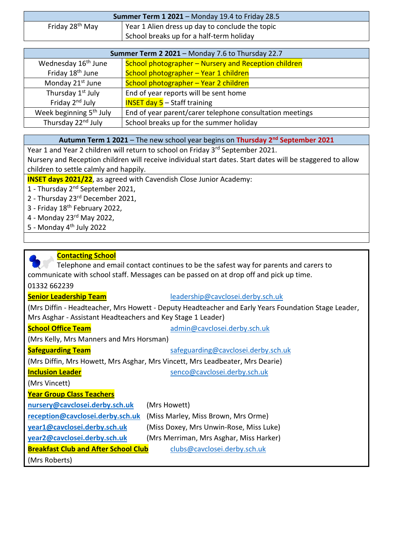| <b>Summer Term 1 2021</b> – Monday 19.4 to Friday 28.5 |                                                 |
|--------------------------------------------------------|-------------------------------------------------|
| Friday 28 <sup>th</sup> May                            | Year 1 Alien dress up day to conclude the topic |
|                                                        | School breaks up for a half-term holiday        |

| Summer Term 2 2021 - Monday 7.6 to Thursday 22.7 |                                                          |
|--------------------------------------------------|----------------------------------------------------------|
| Wednesday 16 <sup>th</sup> June                  | School photographer - Nursery and Reception children     |
| Friday 18 <sup>th</sup> June                     | School photographer - Year 1 children                    |
| Monday 21 <sup>st</sup> June                     | School photographer - Year 2 children                    |
| Thursday 1 <sup>st</sup> July                    | End of year reports will be sent home                    |
| Friday 2 <sup>nd</sup> July                      | <b>INSET day 5</b> $-$ Staff training                    |
| Week beginning 5 <sup>th</sup> July              | End of year parent/carer telephone consultation meetings |
| Thursday 22 <sup>nd</sup> July                   | School breaks up for the summer holiday                  |

#### **Autumn Term 1 2021** – The new school year begins on **Thursday 2nd September 2021**

Year 1 and Year 2 children will return to school on Friday 3<sup>rd</sup> September 2021.

Nursery and Reception children will receive individual start dates. Start dates will be staggered to allow children to settle calmly and happily.

**INSET days 2021/22**, as agreed with Cavendish Close Junior Academy:

- 1 Thursday 2nd September 2021,
- 2 Thursday 23rd December 2021,
- 3 Friday 18<sup>th</sup> February 2022,
- 4 Monday 23rd May 2022,
- 5 Monday  $4<sup>th</sup>$  July 2022

#### **Contacting School**

 Telephone and email contact continues to be the safest way for parents and carers to communicate with school staff. Messages can be passed on at drop off and pick up time. 01332 662239

# **Senior Leadership Team** [leadership@cavclosei.derby.sch.uk](mailto:leadership@cavclosei.derby.sch.uk)

(Mrs Diffin - Headteacher, Mrs Howett - Deputy Headteacher and Early Years Foundation Stage Leader, Mrs Asghar - Assistant Headteachers and Key Stage 1 Leader)

**School Office Team** [admin@cavclosei.derby.sch.uk](mailto:admin@cavclosei.derby.sch.uk)

(Mrs Kelly, Mrs Manners and Mrs Horsman)

**Safeguarding Team** [safeguarding@cavclosei.derby.sch.uk](mailto:safeguarding@cavclosei.derby.sch.uk)

(Mrs Diffin, Mrs Howett, Mrs Asghar, Mrs Vincett, Mrs Leadbeater, Mrs Dearie)

**Inclusion Leader** [senco@cavclosei.derby.sch.uk](mailto:senco@cavclosei.derby.sch.uk)

(Mrs Vincett)

## **Year Group Class Teachers**

**[nursery@cavclosei.derby.sch.uk](mailto:nursery@cavclosei.derby.sch.uk)** (Mrs Howett)

**[reception@cavclosei.derby.sch.uk](mailto:reception@cavclosei.derby.sch.uk)** (Miss Marley, Miss Brown, Mrs Orme)

**[year1@cavclosei.derby.sch.uk](mailto:year1@cavclosei.derby.sch.uk)** (Miss Doxey, Mrs Unwin-Rose, Miss Luke)

**[year2@cavclosei.derby.sch.uk](mailto:year2@cavclosei.derby.sch.uk)** (Mrs Merriman, Mrs Asghar, Miss Harker)

**Breakfast Club and After School Club** [clubs@cavclosei.derby.sch.uk](mailto:clubs@cavclosei.derby.sch.uk)

(Mrs Roberts)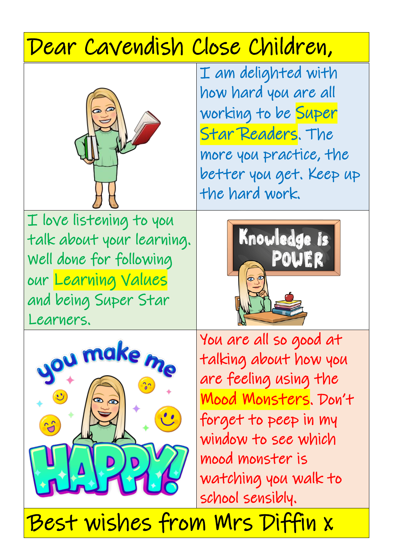# Dear Cavendish Close Children,



I am delighted with how hard you are all working to be Super Star Readers. The more you practice, the better you get. Keep up the hard work.

I love listening to you talk about your learning. Well done for following our Learning Values and being Super Star Learners.





You are all so good at talking about how you are feeling using the Mood Monsters. Don't forget to peep in my window to see which mood monster is watching you walk to school sensibly.

Best wishes from Mrs Diffin x